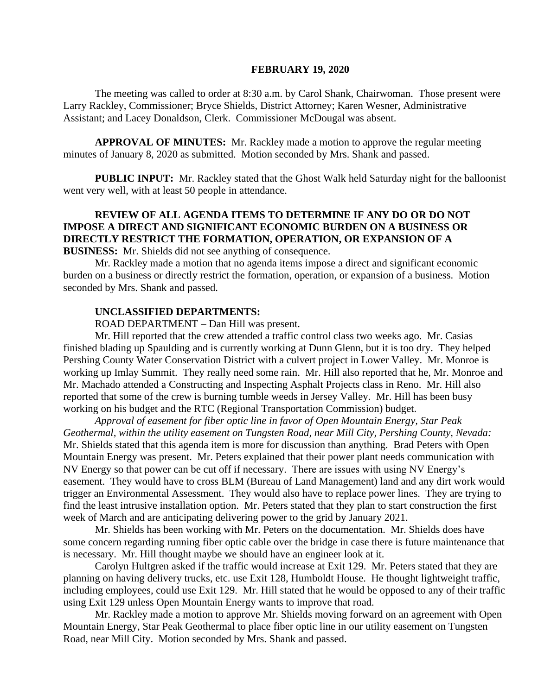#### **FEBRUARY 19, 2020**

The meeting was called to order at 8:30 a.m. by Carol Shank, Chairwoman. Those present were Larry Rackley, Commissioner; Bryce Shields, District Attorney; Karen Wesner, Administrative Assistant; and Lacey Donaldson, Clerk. Commissioner McDougal was absent.

**APPROVAL OF MINUTES:** Mr. Rackley made a motion to approve the regular meeting minutes of January 8, 2020 as submitted. Motion seconded by Mrs. Shank and passed.

 **PUBLIC INPUT:** Mr. Rackley stated that the Ghost Walk held Saturday night for the balloonist went very well, with at least 50 people in attendance.

# **REVIEW OF ALL AGENDA ITEMS TO DETERMINE IF ANY DO OR DO NOT IMPOSE A DIRECT AND SIGNIFICANT ECONOMIC BURDEN ON A BUSINESS OR DIRECTLY RESTRICT THE FORMATION, OPERATION, OR EXPANSION OF A**

**BUSINESS:** Mr. Shields did not see anything of consequence.

Mr. Rackley made a motion that no agenda items impose a direct and significant economic burden on a business or directly restrict the formation, operation, or expansion of a business. Motion seconded by Mrs. Shank and passed.

### **UNCLASSIFIED DEPARTMENTS:**

ROAD DEPARTMENT – Dan Hill was present.

Mr. Hill reported that the crew attended a traffic control class two weeks ago. Mr. Casias finished blading up Spaulding and is currently working at Dunn Glenn, but it is too dry. They helped Pershing County Water Conservation District with a culvert project in Lower Valley. Mr. Monroe is working up Imlay Summit. They really need some rain. Mr. Hill also reported that he, Mr. Monroe and Mr. Machado attended a Constructing and Inspecting Asphalt Projects class in Reno. Mr. Hill also reported that some of the crew is burning tumble weeds in Jersey Valley. Mr. Hill has been busy working on his budget and the RTC (Regional Transportation Commission) budget.

*Approval of easement for fiber optic line in favor of Open Mountain Energy, Star Peak Geothermal, within the utility easement on Tungsten Road, near Mill City, Pershing County, Nevada:*  Mr. Shields stated that this agenda item is more for discussion than anything. Brad Peters with Open Mountain Energy was present. Mr. Peters explained that their power plant needs communication with NV Energy so that power can be cut off if necessary. There are issues with using NV Energy's easement. They would have to cross BLM (Bureau of Land Management) land and any dirt work would trigger an Environmental Assessment. They would also have to replace power lines. They are trying to find the least intrusive installation option. Mr. Peters stated that they plan to start construction the first week of March and are anticipating delivering power to the grid by January 2021.

Mr. Shields has been working with Mr. Peters on the documentation. Mr. Shields does have some concern regarding running fiber optic cable over the bridge in case there is future maintenance that is necessary. Mr. Hill thought maybe we should have an engineer look at it.

Carolyn Hultgren asked if the traffic would increase at Exit 129. Mr. Peters stated that they are planning on having delivery trucks, etc. use Exit 128, Humboldt House. He thought lightweight traffic, including employees, could use Exit 129. Mr. Hill stated that he would be opposed to any of their traffic using Exit 129 unless Open Mountain Energy wants to improve that road.

Mr. Rackley made a motion to approve Mr. Shields moving forward on an agreement with Open Mountain Energy, Star Peak Geothermal to place fiber optic line in our utility easement on Tungsten Road, near Mill City. Motion seconded by Mrs. Shank and passed.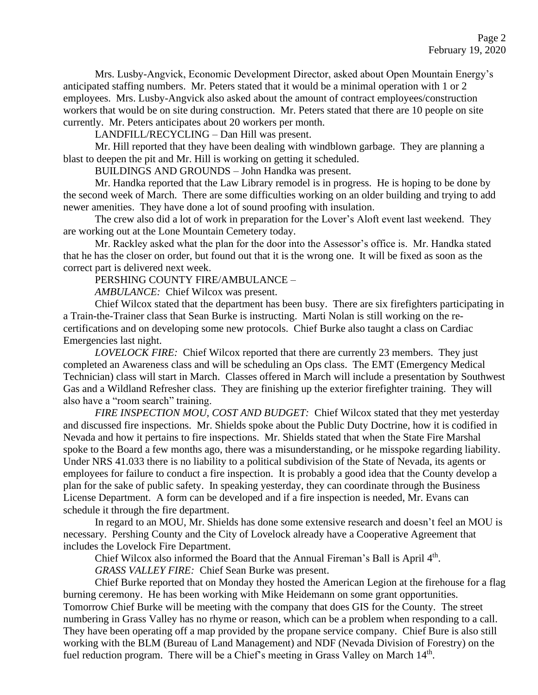Mrs. Lusby-Angvick, Economic Development Director, asked about Open Mountain Energy's anticipated staffing numbers. Mr. Peters stated that it would be a minimal operation with 1 or 2 employees. Mrs. Lusby-Angvick also asked about the amount of contract employees/construction workers that would be on site during construction. Mr. Peters stated that there are 10 people on site currently. Mr. Peters anticipates about 20 workers per month.

LANDFILL/RECYCLING – Dan Hill was present.

Mr. Hill reported that they have been dealing with windblown garbage. They are planning a blast to deepen the pit and Mr. Hill is working on getting it scheduled.

BUILDINGS AND GROUNDS – John Handka was present.

Mr. Handka reported that the Law Library remodel is in progress. He is hoping to be done by the second week of March. There are some difficulties working on an older building and trying to add newer amenities. They have done a lot of sound proofing with insulation.

The crew also did a lot of work in preparation for the Lover's Aloft event last weekend. They are working out at the Lone Mountain Cemetery today.

Mr. Rackley asked what the plan for the door into the Assessor's office is. Mr. Handka stated that he has the closer on order, but found out that it is the wrong one. It will be fixed as soon as the correct part is delivered next week.

PERSHING COUNTY FIRE/AMBULANCE –

*AMBULANCE:* Chief Wilcox was present.

Chief Wilcox stated that the department has been busy. There are six firefighters participating in a Train-the-Trainer class that Sean Burke is instructing. Marti Nolan is still working on the recertifications and on developing some new protocols. Chief Burke also taught a class on Cardiac Emergencies last night.

*LOVELOCK FIRE:* Chief Wilcox reported that there are currently 23 members. They just completed an Awareness class and will be scheduling an Ops class. The EMT (Emergency Medical Technician) class will start in March. Classes offered in March will include a presentation by Southwest Gas and a Wildland Refresher class. They are finishing up the exterior firefighter training. They will also have a "room search" training.

*FIRE INSPECTION MOU, COST AND BUDGET:* Chief Wilcox stated that they met yesterday and discussed fire inspections. Mr. Shields spoke about the Public Duty Doctrine, how it is codified in Nevada and how it pertains to fire inspections. Mr. Shields stated that when the State Fire Marshal spoke to the Board a few months ago, there was a misunderstanding, or he misspoke regarding liability. Under NRS 41.033 there is no liability to a political subdivision of the State of Nevada, its agents or employees for failure to conduct a fire inspection. It is probably a good idea that the County develop a plan for the sake of public safety. In speaking yesterday, they can coordinate through the Business License Department. A form can be developed and if a fire inspection is needed, Mr. Evans can schedule it through the fire department.

In regard to an MOU, Mr. Shields has done some extensive research and doesn't feel an MOU is necessary. Pershing County and the City of Lovelock already have a Cooperative Agreement that includes the Lovelock Fire Department.

Chief Wilcox also informed the Board that the Annual Fireman's Ball is April 4<sup>th</sup>.

*GRASS VALLEY FIRE:* Chief Sean Burke was present.

Chief Burke reported that on Monday they hosted the American Legion at the firehouse for a flag burning ceremony. He has been working with Mike Heidemann on some grant opportunities. Tomorrow Chief Burke will be meeting with the company that does GIS for the County. The street numbering in Grass Valley has no rhyme or reason, which can be a problem when responding to a call. They have been operating off a map provided by the propane service company. Chief Bure is also still working with the BLM (Bureau of Land Management) and NDF (Nevada Division of Forestry) on the fuel reduction program. There will be a Chief's meeting in Grass Valley on March 14<sup>th</sup>.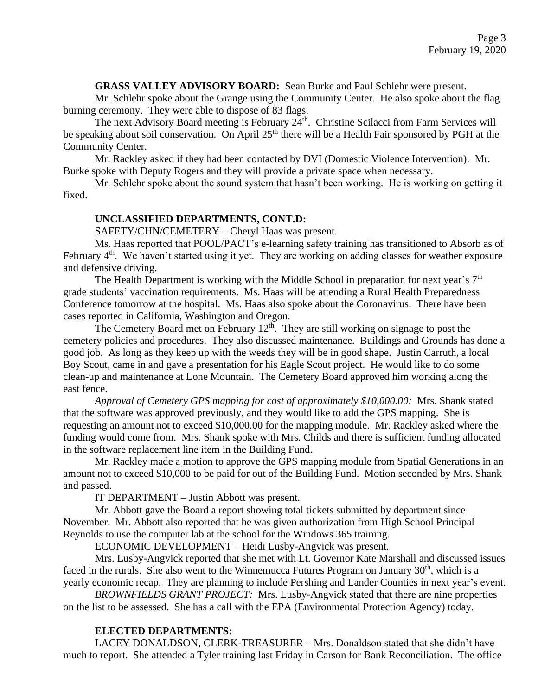### **GRASS VALLEY ADVISORY BOARD:** Sean Burke and Paul Schlehr were present.

Mr. Schlehr spoke about the Grange using the Community Center. He also spoke about the flag burning ceremony. They were able to dispose of 83 flags.

The next Advisory Board meeting is February 24<sup>th</sup>. Christine Scilacci from Farm Services will be speaking about soil conservation. On April 25<sup>th</sup> there will be a Health Fair sponsored by PGH at the Community Center.

Mr. Rackley asked if they had been contacted by DVI (Domestic Violence Intervention). Mr. Burke spoke with Deputy Rogers and they will provide a private space when necessary.

Mr. Schlehr spoke about the sound system that hasn't been working. He is working on getting it fixed.

## **UNCLASSIFIED DEPARTMENTS, CONT.D:**

SAFETY/CHN/CEMETERY – Cheryl Haas was present.

Ms. Haas reported that POOL/PACT's e-learning safety training has transitioned to Absorb as of February 4<sup>th</sup>. We haven't started using it yet. They are working on adding classes for weather exposure and defensive driving.

The Health Department is working with the Middle School in preparation for next year's  $7<sup>th</sup>$ grade students' vaccination requirements. Ms. Haas will be attending a Rural Health Preparedness Conference tomorrow at the hospital. Ms. Haas also spoke about the Coronavirus. There have been cases reported in California, Washington and Oregon.

The Cemetery Board met on February  $12<sup>th</sup>$ . They are still working on signage to post the cemetery policies and procedures. They also discussed maintenance. Buildings and Grounds has done a good job. As long as they keep up with the weeds they will be in good shape. Justin Carruth, a local Boy Scout, came in and gave a presentation for his Eagle Scout project. He would like to do some clean-up and maintenance at Lone Mountain. The Cemetery Board approved him working along the east fence.

*Approval of Cemetery GPS mapping for cost of approximately \$10,000.00:* Mrs. Shank stated that the software was approved previously, and they would like to add the GPS mapping. She is requesting an amount not to exceed \$10,000.00 for the mapping module. Mr. Rackley asked where the funding would come from. Mrs. Shank spoke with Mrs. Childs and there is sufficient funding allocated in the software replacement line item in the Building Fund.

Mr. Rackley made a motion to approve the GPS mapping module from Spatial Generations in an amount not to exceed \$10,000 to be paid for out of the Building Fund. Motion seconded by Mrs. Shank and passed.

IT DEPARTMENT – Justin Abbott was present.

Mr. Abbott gave the Board a report showing total tickets submitted by department since November. Mr. Abbott also reported that he was given authorization from High School Principal Reynolds to use the computer lab at the school for the Windows 365 training.

ECONOMIC DEVELOPMENT – Heidi Lusby-Angvick was present.

Mrs. Lusby-Angvick reported that she met with Lt. Governor Kate Marshall and discussed issues faced in the rurals. She also went to the Winnemucca Futures Program on January  $30<sup>th</sup>$ , which is a yearly economic recap. They are planning to include Pershing and Lander Counties in next year's event.

*BROWNFIELDS GRANT PROJECT:* Mrs. Lusby-Angvick stated that there are nine properties on the list to be assessed. She has a call with the EPA (Environmental Protection Agency) today.

## **ELECTED DEPARTMENTS:**

LACEY DONALDSON, CLERK-TREASURER – Mrs. Donaldson stated that she didn't have much to report. She attended a Tyler training last Friday in Carson for Bank Reconciliation. The office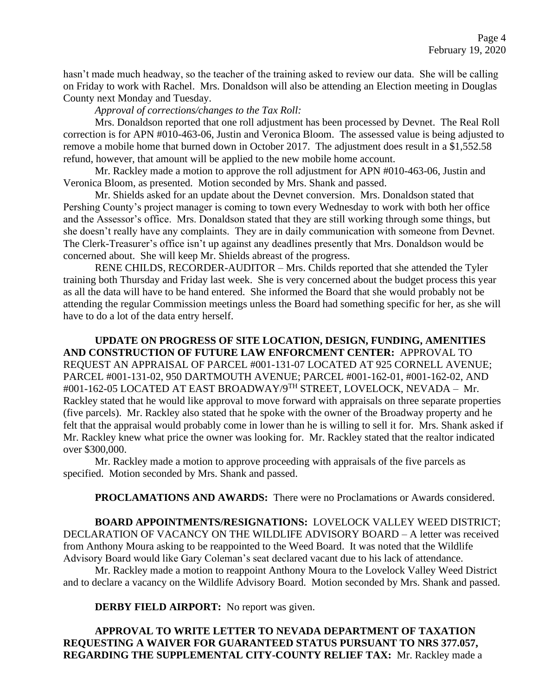hasn't made much headway, so the teacher of the training asked to review our data. She will be calling on Friday to work with Rachel. Mrs. Donaldson will also be attending an Election meeting in Douglas County next Monday and Tuesday.

*Approval of corrections/changes to the Tax Roll:*

Mrs. Donaldson reported that one roll adjustment has been processed by Devnet. The Real Roll correction is for APN #010-463-06, Justin and Veronica Bloom. The assessed value is being adjusted to remove a mobile home that burned down in October 2017. The adjustment does result in a \$1,552.58 refund, however, that amount will be applied to the new mobile home account.

Mr. Rackley made a motion to approve the roll adjustment for APN #010-463-06, Justin and Veronica Bloom, as presented. Motion seconded by Mrs. Shank and passed.

Mr. Shields asked for an update about the Devnet conversion. Mrs. Donaldson stated that Pershing County's project manager is coming to town every Wednesday to work with both her office and the Assessor's office. Mrs. Donaldson stated that they are still working through some things, but she doesn't really have any complaints. They are in daily communication with someone from Devnet. The Clerk-Treasurer's office isn't up against any deadlines presently that Mrs. Donaldson would be concerned about. She will keep Mr. Shields abreast of the progress.

RENE CHILDS, RECORDER-AUDITOR – Mrs. Childs reported that she attended the Tyler training both Thursday and Friday last week. She is very concerned about the budget process this year as all the data will have to be hand entered. She informed the Board that she would probably not be attending the regular Commission meetings unless the Board had something specific for her, as she will have to do a lot of the data entry herself.

**UPDATE ON PROGRESS OF SITE LOCATION, DESIGN, FUNDING, AMENITIES AND CONSTRUCTION OF FUTURE LAW ENFORCMENT CENTER:** APPROVAL TO REQUEST AN APPRAISAL OF PARCEL #001-131-07 LOCATED AT 925 CORNELL AVENUE; PARCEL #001-131-02, 950 DARTMOUTH AVENUE; PARCEL #001-162-01, #001-162-02, AND #001-162-05 LOCATED AT EAST BROADWAY/9TH STREET, LOVELOCK, NEVADA – Mr. Rackley stated that he would like approval to move forward with appraisals on three separate properties (five parcels). Mr. Rackley also stated that he spoke with the owner of the Broadway property and he felt that the appraisal would probably come in lower than he is willing to sell it for. Mrs. Shank asked if Mr. Rackley knew what price the owner was looking for. Mr. Rackley stated that the realtor indicated over \$300,000.

Mr. Rackley made a motion to approve proceeding with appraisals of the five parcels as specified. Motion seconded by Mrs. Shank and passed.

**PROCLAMATIONS AND AWARDS:** There were no Proclamations or Awards considered.

**BOARD APPOINTMENTS/RESIGNATIONS:** LOVELOCK VALLEY WEED DISTRICT; DECLARATION OF VACANCY ON THE WILDLIFE ADVISORY BOARD – A letter was received from Anthony Moura asking to be reappointed to the Weed Board. It was noted that the Wildlife Advisory Board would like Gary Coleman's seat declared vacant due to his lack of attendance.

Mr. Rackley made a motion to reappoint Anthony Moura to the Lovelock Valley Weed District and to declare a vacancy on the Wildlife Advisory Board. Motion seconded by Mrs. Shank and passed.

**DERBY FIELD AIRPORT:** No report was given.

**APPROVAL TO WRITE LETTER TO NEVADA DEPARTMENT OF TAXATION REQUESTING A WAIVER FOR GUARANTEED STATUS PURSUANT TO NRS 377.057, REGARDING THE SUPPLEMENTAL CITY-COUNTY RELIEF TAX:** Mr. Rackley made a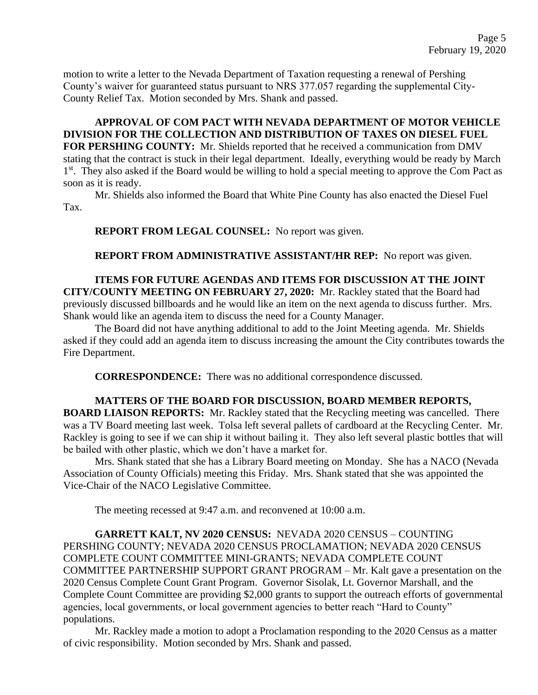motion to write a letter to the Nevada Department of Taxation requesting a renewal of Pershing County's waiver for guaranteed status pursuant to NRS 377.057 regarding the supplemental City-County Relief Tax. Motion seconded by Mrs. Shank and passed.

**APPROVAL OF COM PACT WITH NEVADA DEPARTMENT OF MOTOR VEHICLE DIVISION FOR THE COLLECTION AND DISTRIBUTION OF TAXES ON DIESEL FUEL FOR PERSHING COUNTY:** Mr. Shields reported that he received a communication from DMV stating that the contract is stuck in their legal department. Ideally, everything would be ready by March 1<sup>st</sup>. They also asked if the Board would be willing to hold a special meeting to approve the Com Pact as soon as it is ready.

Mr. Shields also informed the Board that White Pine County has also enacted the Diesel Fuel Tax.

**REPORT FROM LEGAL COUNSEL:** No report was given.

**REPORT FROM ADMINISTRATIVE ASSISTANT/HR REP:** No report was given.

**ITEMS FOR FUTURE AGENDAS AND ITEMS FOR DISCUSSION AT THE JOINT CITY/COUNTY MEETING ON FEBRUARY 27, 2020:** Mr. Rackley stated that the Board had previously discussed billboards and he would like an item on the next agenda to discuss further. Mrs. Shank would like an agenda item to discuss the need for a County Manager.

The Board did not have anything additional to add to the Joint Meeting agenda. Mr. Shields asked if they could add an agenda item to discuss increasing the amount the City contributes towards the Fire Department.

**CORRESPONDENCE:** There was no additional correspondence discussed.

# **MATTERS OF THE BOARD FOR DISCUSSION, BOARD MEMBER REPORTS,**

**BOARD LIAISON REPORTS:** Mr. Rackley stated that the Recycling meeting was cancelled. There was a TV Board meeting last week. Tolsa left several pallets of cardboard at the Recycling Center. Mr. Rackley is going to see if we can ship it without bailing it. They also left several plastic bottles that will be bailed with other plastic, which we don't have a market for.

Mrs. Shank stated that she has a Library Board meeting on Monday. She has a NACO (Nevada Association of County Officials) meeting this Friday. Mrs. Shank stated that she was appointed the Vice-Chair of the NACO Legislative Committee.

The meeting recessed at 9:47 a.m. and reconvened at 10:00 a.m.

**GARRETT KALT, NV 2020 CENSUS:** NEVADA 2020 CENSUS – COUNTING PERSHING COUNTY; NEVADA 2020 CENSUS PROCLAMATION; NEVADA 2020 CENSUS COMPLETE COUNT COMMITTEE MINI-GRANTS; NEVADA COMPLETE COUNT COMMITTEE PARTNERSHIP SUPPORT GRANT PROGRAM – Mr. Kalt gave a presentation on the 2020 Census Complete Count Grant Program. Governor Sisolak, Lt. Governor Marshall, and the Complete Count Committee are providing \$2,000 grants to support the outreach efforts of governmental agencies, local governments, or local government agencies to better reach "Hard to County" populations.

Mr. Rackley made a motion to adopt a Proclamation responding to the 2020 Census as a matter of civic responsibility. Motion seconded by Mrs. Shank and passed.